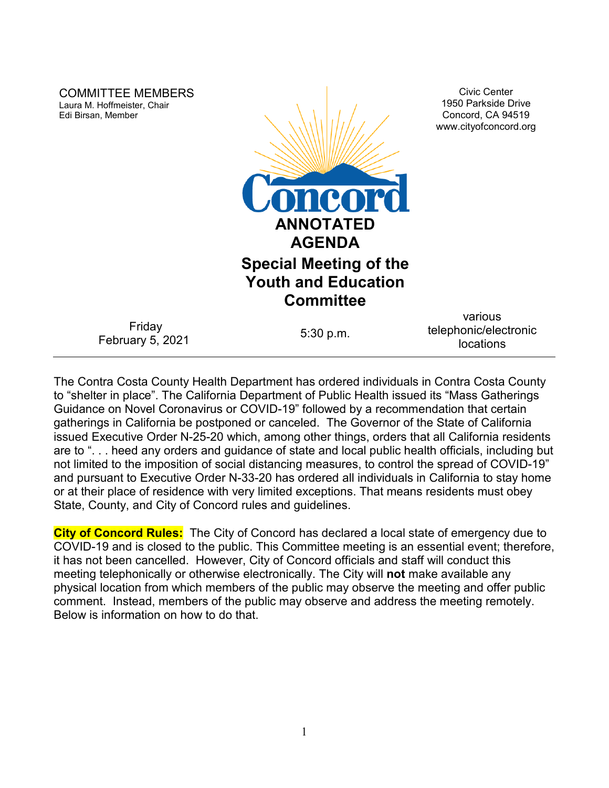| <b>COMMITTEE MEMBERS</b><br>Laura M. Hoffmeister, Chair<br>Edi Birsan, Member | <b>Loncord</b><br><b>ANNOTATED</b><br><b>AGENDA</b><br><b>Special Meeting of the</b><br><b>Youth and Education</b> | <b>Civic Center</b><br>1950 Parkside Drive<br>Concord, CA 94519<br>www.cityofconcord.org |
|-------------------------------------------------------------------------------|--------------------------------------------------------------------------------------------------------------------|------------------------------------------------------------------------------------------|
|                                                                               | <b>Committee</b>                                                                                                   |                                                                                          |
| Friday<br>February 5, 2021                                                    | 5:30 p.m.                                                                                                          | various<br>telephonic/electronic<br>locations                                            |

The Contra Costa County Health Department has ordered individuals in Contra Costa County to "shelter in place". The California Department of Public Health issued its "Mass Gatherings Guidance on Novel Coronavirus or COVID-19" followed by a recommendation that certain gatherings in California be postponed or canceled. The Governor of the State of California issued Executive Order N-25-20 which, among other things, orders that all California residents are to ". . . heed any orders and guidance of state and local public health officials, including but not limited to the imposition of social distancing measures, to control the spread of COVID-19" and pursuant to Executive Order N-33-20 has ordered all individuals in California to stay home or at their place of residence with very limited exceptions. That means residents must obey State, County, and City of Concord rules and guidelines.

**City of Concord Rules:** The City of Concord has declared a local state of emergency due to COVID-19 and is closed to the public. This Committee meeting is an essential event; therefore, it has not been cancelled. However, City of Concord officials and staff will conduct this meeting telephonically or otherwise electronically. The City will **not** make available any physical location from which members of the public may observe the meeting and offer public comment. Instead, members of the public may observe and address the meeting remotely. Below is information on how to do that.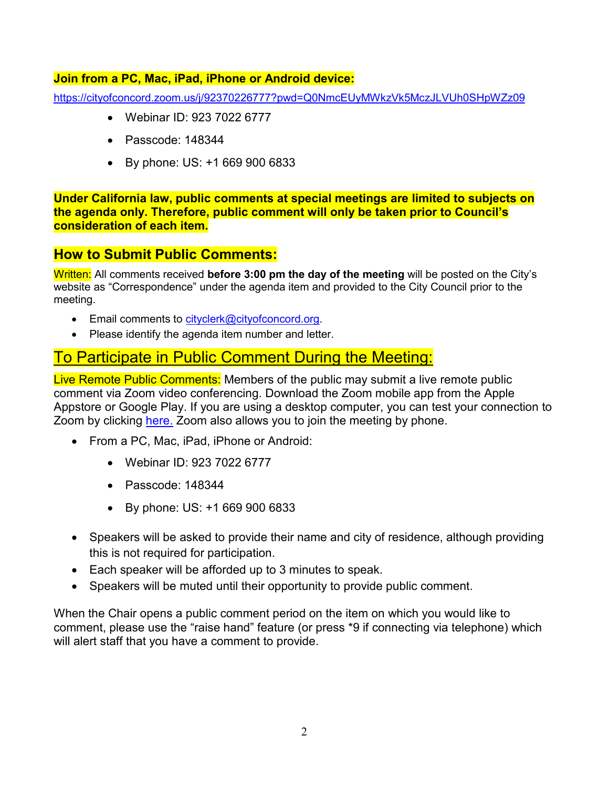### **Join from a PC, Mac, iPad, iPhone or Android device:**

<https://cityofconcord.zoom.us/j/92370226777?pwd=Q0NmcEUyMWkzVk5MczJLVUh0SHpWZz09>

- Webinar ID: 923 7022 6777
- Passcode: 148344
- By phone: US: +1 669 900 6833

**Under California law, public comments at special meetings are limited to subjects on the agenda only. Therefore, public comment will only be taken prior to Council's consideration of each item.** 

# **How to Submit Public Comments:**

Written: All comments received **before 3:00 pm the day of the meeting** will be posted on the City's website as "Correspondence" under the agenda item and provided to the City Council prior to the meeting.

- Email comments to [cityclerk@cityofconcord.org.](mailto:cityclerk@cityofconcord.org)
- Please identify the agenda item number and letter.

# To Participate in Public Comment During the Meeting:

Live Remote Public Comments: Members of the public may submit a live remote public comment via Zoom video conferencing. Download the Zoom mobile app from the Apple Appstore or Google Play. If you are using a desktop computer, you can test your connection to Zoom by clicking [here.](https://www.zoom.us/join) Zoom also allows you to join the meeting by phone.

- From a PC, Mac, iPad, iPhone or Android:
	- Webinar ID: 923 7022 6777
	- Passcode: 148344
	- By phone: US: +1 669 900 6833
- Speakers will be asked to provide their name and city of residence, although providing this is not required for participation.
- Each speaker will be afforded up to 3 minutes to speak.
- Speakers will be muted until their opportunity to provide public comment.

When the Chair opens a public comment period on the item on which you would like to comment, please use the "raise hand" feature (or press \*9 if connecting via telephone) which will alert staff that you have a comment to provide.